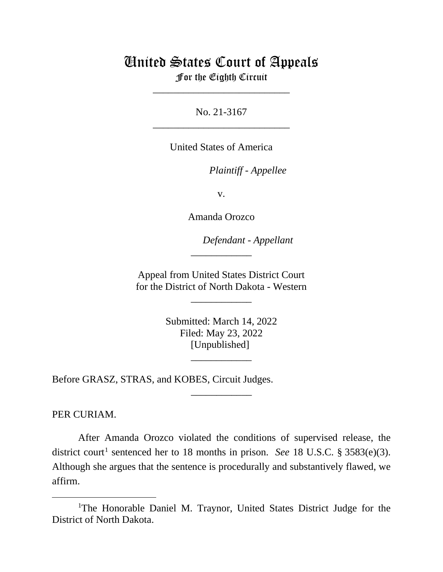## United States Court of Appeals

For the Eighth Circuit \_\_\_\_\_\_\_\_\_\_\_\_\_\_\_\_\_\_\_\_\_\_\_\_\_\_\_

No. 21-3167 \_\_\_\_\_\_\_\_\_\_\_\_\_\_\_\_\_\_\_\_\_\_\_\_\_\_\_

United States of America

*Plaintiff - Appellee*

v.

Amanda Orozco

*Defendant - Appellant*

Appeal from United States District Court for the District of North Dakota - Western

\_\_\_\_\_\_\_\_\_\_\_\_

\_\_\_\_\_\_\_\_\_\_\_\_

Submitted: March 14, 2022 Filed: May 23, 2022 [Unpublished]

\_\_\_\_\_\_\_\_\_\_\_\_

\_\_\_\_\_\_\_\_\_\_\_\_

Before GRASZ, STRAS, and KOBES, Circuit Judges.

PER CURIAM.

After Amanda Orozco violated the conditions of supervised release, the district court<sup>[1](#page-0-0)</sup> sentenced her to 18 months in prison. *See* 18 U.S.C. § 3583(e)(3). Although she argues that the sentence is procedurally and substantively flawed, we affirm.

<span id="page-0-0"></span><sup>&</sup>lt;sup>1</sup>The Honorable Daniel M. Traynor, United States District Judge for the District of North Dakota.